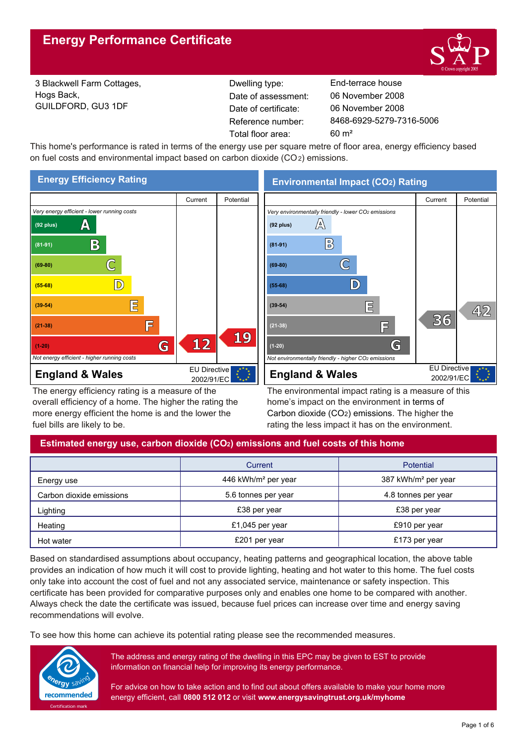

3 Blackwell Farm Cottages, Hogs Back, GUILDFORD, GU3 1DF

Reference number: Dwelling type: End-terrace house Date of certificate: Total floor area: 60 m² Date of assessment:

8468-6929-5279-7316-5006 06 November 2008 06 November 2008

This home's performance is rated in terms of the energy use per square metre of floor area, energy efficiency based on fuel costs and environmental impact based on carbon dioxide (CO2) emissions.



The energy efficiency rating is a measure of the overall efficiency of a home. The higher the rating the more energy efficient the home is and the lower the fuel bills are likely to be.

## **Environmental Impact (CO2) Rating**



The environmental impact rating is a measure of this home's impact on the environment in terms of Carbon dioxide (CO2) emissions. The higher the rating the less impact it has on the environment.

# **Estimated energy use, carbon dioxide (CO2) emissions and fuel costs of this home**

|                          | Current                         | <b>Potential</b>                |
|--------------------------|---------------------------------|---------------------------------|
| Energy use               | 446 kWh/m <sup>2</sup> per year | 387 kWh/m <sup>2</sup> per year |
| Carbon dioxide emissions | 5.6 tonnes per year             | 4.8 tonnes per year             |
| Lighting                 | £38 per year                    | £38 per year                    |
| Heating                  | £1,045 per year                 | £910 per year                   |
| Hot water                | £201 per year                   | £173 per year                   |

Based on standardised assumptions about occupancy, heating patterns and geographical location, the above table provides an indication of how much it will cost to provide lighting, heating and hot water to this home. The fuel costs only take into account the cost of fuel and not any associated service, maintenance or safety inspection. This certificate has been provided for comparative purposes only and enables one home to be compared with another. Always check the date the certificate was issued, because fuel prices can increase over time and energy saving recommendations will evolve.

To see how this home can achieve its potential rating please see the recommended measures.



The address and energy rating of the dwelling in this EPC may be given to EST to provide information on financial help for improving its energy performance.

For advice on how to take action and to find out about offers available to make your home more energy efficient, call **0800 512 012** or visit **www.energysavingtrust.org.uk/myhome**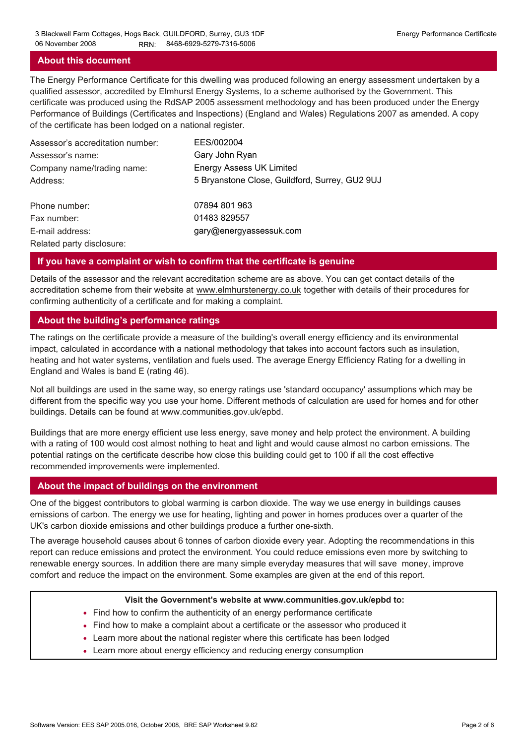## **About this document**

The Energy Performance Certificate for this dwelling was produced following an energy assessment undertaken by a qualified assessor, accredited by Elmhurst Energy Systems, to a scheme authorised by the Government. This certificate was produced using the RdSAP 2005 assessment methodology and has been produced under the Energy Performance of Buildings (Certificates and Inspections) (England and Wales) Regulations 2007 as amended. A copy of the certificate has been lodged on a national register.

| Assessor's accreditation number: | EES/002004                                     |
|----------------------------------|------------------------------------------------|
| Assessor's name:                 | Gary John Ryan                                 |
| Company name/trading name:       | <b>Energy Assess UK Limited</b>                |
| Address:                         | 5 Bryanstone Close, Guildford, Surrey, GU2 9UJ |
| Phone number:                    | 07894 801 963                                  |
| Fax number:                      | 01483 829557                                   |
| E-mail address:                  | gary@energyassessuk.com                        |
| Related party disclosure:        |                                                |

## **If you have a complaint or wish to confirm that the certificate is genuine**

Details of the assessor and the relevant accreditation scheme are as above. You can get contact details of the accreditation scheme from their website at www.elmhurstenergy.co.uk together with details of their procedures for confirming authenticity of a certificate and for making a complaint.

## **About the building's performance ratings**

The ratings on the certificate provide a measure of the building's overall energy efficiency and its environmental impact, calculated in accordance with a national methodology that takes into account factors such as insulation, heating and hot water systems, ventilation and fuels used. The average Energy Efficiency Rating for a dwelling in England and Wales is band E (rating 46).

Not all buildings are used in the same way, so energy ratings use 'standard occupancy' assumptions which may be different from the specific way you use your home. Different methods of calculation are used for homes and for other buildings. Details can be found at www.communities.gov.uk/epbd.

Buildings that are more energy efficient use less energy, save money and help protect the environment. A building with a rating of 100 would cost almost nothing to heat and light and would cause almost no carbon emissions. The potential ratings on the certificate describe how close this building could get to 100 if all the cost effective recommended improvements were implemented.

#### **About the impact of buildings on the environment**

One of the biggest contributors to global warming is carbon dioxide. The way we use energy in buildings causes emissions of carbon. The energy we use for heating, lighting and power in homes produces over a quarter of the UK's carbon dioxide emissions and other buildings produce a further one-sixth.

The average household causes about 6 tonnes of carbon dioxide every year. Adopting the recommendations in this report can reduce emissions and protect the environment. You could reduce emissions even more by switching to renewable energy sources. In addition there are many simple everyday measures that will save money, improve comfort and reduce the impact on the environment. Some examples are given at the end of this report.

#### **Visit the Government's website at www.communities.gov.uk/epbd to:**

- Find how to confirm the authenticity of an energy performance certificate
- Find how to make a complaint about a certificate or the assessor who produced it •
- Learn more about the national register where this certificate has been lodged •
- Learn more about energy efficiency and reducing energy consumption •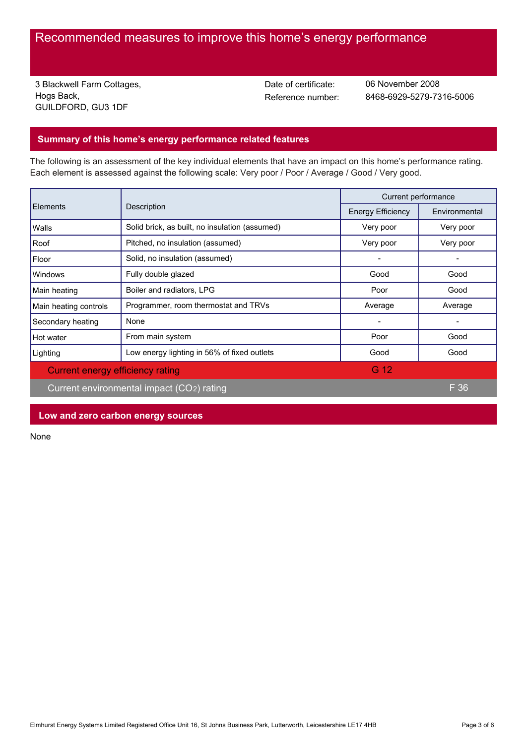# Recommended measures to improve this home's energy performance

3 Blackwell Farm Cottages, Hogs Back, GUILDFORD, GU3 1DF

Date of certificate:

Reference number: 8468-6929-5279-7316-5006 06 November 2008

## **Summary of this home's energy performance related features**

The following is an assessment of the key individual elements that have an impact on this home's performance rating. Each element is assessed against the following scale: Very poor / Poor / Average / Good / Very good.

| Elements                         | Description                                    | Current performance      |               |
|----------------------------------|------------------------------------------------|--------------------------|---------------|
|                                  |                                                | <b>Energy Efficiency</b> | Environmental |
| Walls                            | Solid brick, as built, no insulation (assumed) | Very poor                | Very poor     |
| Roof                             | Pitched, no insulation (assumed)               | Very poor                | Very poor     |
| Floor                            | Solid, no insulation (assumed)                 |                          |               |
| Windows                          | Fully double glazed                            | Good                     | Good          |
| Main heating                     | Boiler and radiators, LPG                      | Poor                     | Good          |
| Main heating controls            | Programmer, room thermostat and TRVs           | Average                  | Average       |
| Secondary heating                | None                                           |                          |               |
| Hot water                        | From main system                               | Poor                     | Good          |
| Lighting                         | Low energy lighting in 56% of fixed outlets    | Good                     | Good          |
| Current energy efficiency rating |                                                | G <sub>12</sub>          |               |
|                                  | Current environmental impact (CO2) rating      |                          | F 36          |

**Low and zero carbon energy sources**

None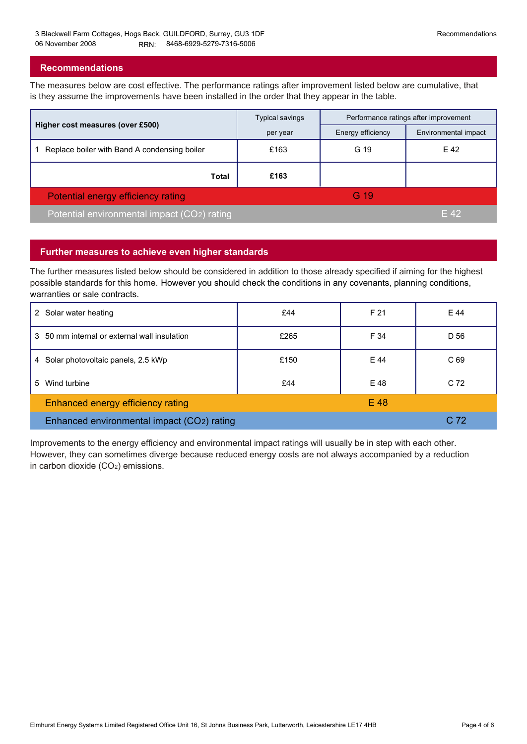## **Recommendations**

The measures below are cost effective. The performance ratings after improvement listed below are cumulative, that is they assume the improvements have been installed in the order that they appear in the table.

|                                              | <b>Typical savings</b> | Performance ratings after improvement |                      |
|----------------------------------------------|------------------------|---------------------------------------|----------------------|
| Higher cost measures (over £500)             | per year               | Energy efficiency                     | Environmental impact |
| Replace boiler with Band A condensing boiler | £163                   | G 19                                  | E 42                 |
| Total                                        | £163                   |                                       |                      |
| Potential energy efficiency rating           |                        | G 19                                  |                      |
| Potential environmental impact (CO2) rating  |                        |                                       | E 42                 |

## **Further measures to achieve even higher standards**

The further measures listed below should be considered in addition to those already specified if aiming for the highest possible standards for this home. However you should check the conditions in any covenants, planning conditions, warranties or sale contracts.

| 2 Solar water heating                        | £44  | F 21 | E 44            |
|----------------------------------------------|------|------|-----------------|
| 3 50 mm internal or external wall insulation | £265 | F 34 | D 56            |
| 4 Solar photovoltaic panels, 2.5 kWp         | £150 | E 44 | C <sub>69</sub> |
| 5 Wind turbine                               | £44  | E 48 | C <sub>72</sub> |
| Enhanced energy efficiency rating            | E 48 |      |                 |
| Enhanced environmental impact (CO2) rating   |      |      | C <sub>72</sub> |

Improvements to the energy efficiency and environmental impact ratings will usually be in step with each other. However, they can sometimes diverge because reduced energy costs are not always accompanied by a reduction in carbon dioxide (CO2) emissions.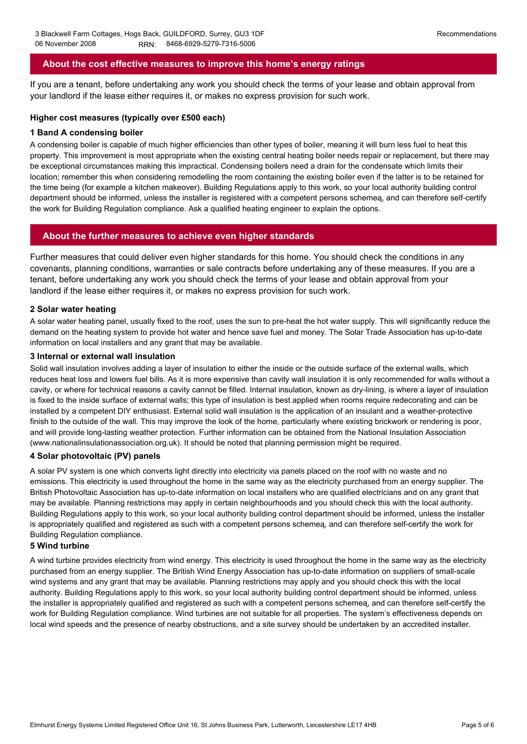## **About the cost effective measures to improve this home's energy ratings**

If you are a tenant, before undertaking any work you should check the terms of your lease and obtain approval from your landlord if the lease either requires it, or makes no express provision for such work.

#### **Higher cost measures (typically over £500 each)**

#### **1 Band A condensing boiler**

A condensing boiler is capable of much higher efficiencies than other types of boiler, meaning it will burn less fuel to heat this property. This improvement is most appropriate when the existing central heating boiler needs repair or replacement, but there may be exceptional circumstances making this impractical. Condensing boilers need a drain for the condensate which limits their location; remember this when considering remodelling the room containing the existing boiler even if the latter is to be retained for the time being (for example a kitchen makeover). Building Regulations apply to this work, so your local authority building control department should be informed, unless the installer is registered with a competent persons schemeą, and can therefore self-certify the work for Building Regulation compliance. Ask a qualified heating engineer to explain the options.

## **About the further measures to achieve even higher standards**

Further measures that could deliver even higher standards for this home. You should check the conditions in any covenants, planning conditions, warranties or sale contracts before undertaking any of these measures. If you are a tenant, before undertaking any work you should check the terms of your lease and obtain approval from your landlord if the lease either requires it, or makes no express provision for such work.

#### **2 Solar water heating**

A solar water heating panel, usually fixed to the roof, uses the sun to pre-heat the hot water supply. This will significantly reduce the demand on the heating system to provide hot water and hence save fuel and money. The Solar Trade Association has up-to-date information on local installers and any grant that may be available.

#### **3 Internal or external wall insulation**

Solid wall insulation involves adding a layer of insulation to either the inside or the outside surface of the external walls, which reduces heat loss and lowers fuel bills. As it is more expensive than cavity wall insulation it is only recommended for walls without a cavity, or where for technical reasons a cavity cannot be filled. Internal insulation, known as dry-lining, is where a layer of insulation is fixed to the inside surface of external walls; this type of insulation is best applied when rooms require redecorating and can be installed by a competent DIY enthusiast. External solid wall insulation is the application of an insulant and a weather-protective finish to the outside of the wall. This may improve the look of the home, particularly where existing brickwork or rendering is poor, and will provide long-lasting weather protection. Further information can be obtained from the National Insulation Association (www.nationalinsulationassociation.org.uk). It should be noted that planning permission might be required.

#### **4 Solar photovoltaic (PV) panels**

A solar PV system is one which converts light directly into electricity via panels placed on the roof with no waste and no emissions. This electricity is used throughout the home in the same way as the electricity purchased from an energy supplier. The British Photovoltaic Association has up-to-date information on local installers who are qualified electricians and on any grant that may be available. Planning restrictions may apply in certain neighbourhoods and you should check this with the local authority. Building Regulations apply to this work, so your local authority building control department should be informed, unless the installer is appropriately qualified and registered as such with a competent persons schemeą, and can therefore self-certify the work for Building Regulation compliance.

#### **5 Wind turbine**

A wind turbine provides electricity from wind energy. This electricity is used throughout the home in the same way as the electricity purchased from an energy supplier. The British Wind Energy Association has up-to-date information on suppliers of small-scale wind systems and any grant that may be available. Planning restrictions may apply and you should check this with the local authority. Building Regulations apply to this work, so your local authority building control department should be informed, unless the installer is appropriately qualified and registered as such with a competent persons schemeą, and can therefore self-certify the work for Building Regulation compliance. Wind turbines are not suitable for all properties. The system's effectiveness depends on local wind speeds and the presence of nearby obstructions, and a site survey should be undertaken by an accredited installer.